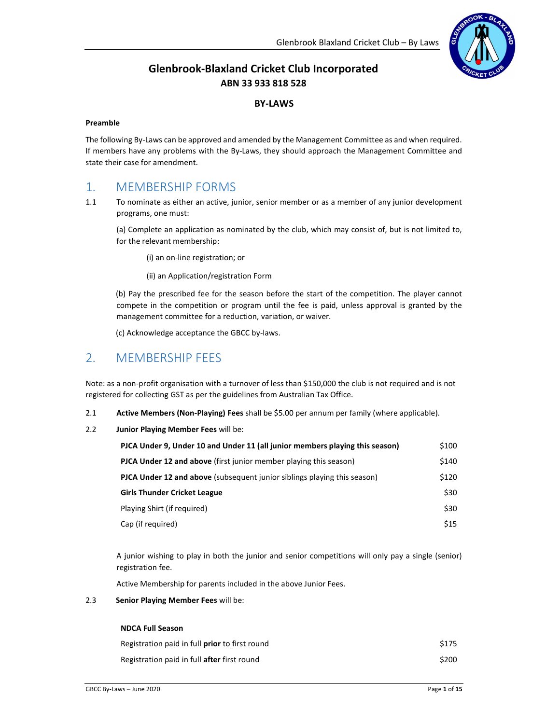

# Glenbrook-Blaxland Cricket Club Incorporated ABN 33 933 818 528

#### BY-LAWS

#### Preamble

The following By-Laws can be approved and amended by the Management Committee as and when required. If members have any problems with the By-Laws, they should approach the Management Committee and state their case for amendment.

# 1. MEMBERSHIP FORMS

1.1 To nominate as either an active, junior, senior member or as a member of any junior development programs, one must:

(a) Complete an application as nominated by the club, which may consist of, but is not limited to, for the relevant membership:

(i) an on-line registration; or

(ii) an Application/registration Form

(b) Pay the prescribed fee for the season before the start of the competition. The player cannot compete in the competition or program until the fee is paid, unless approval is granted by the management committee for a reduction, variation, or waiver.

(c) Acknowledge acceptance the GBCC by-laws.

# 2. MEMBERSHIP FEES

Note: as a non-profit organisation with a turnover of less than \$150,000 the club is not required and is not registered for collecting GST as per the guidelines from Australian Tax Office.

- 2.1 Active Members (Non-Playing) Fees shall be \$5.00 per annum per family (where applicable).
- 2.2 Junior Playing Member Fees will be:

| PJCA Under 9, Under 10 and Under 11 (all junior members playing this season)    | \$100 |
|---------------------------------------------------------------------------------|-------|
| <b>PJCA Under 12 and above</b> (first junior member playing this season)        | \$140 |
| <b>PJCA Under 12 and above</b> (subsequent junior siblings playing this season) | \$120 |
| <b>Girls Thunder Cricket League</b>                                             | \$30  |
| Playing Shirt (if required)                                                     | \$30  |
| Cap (if required)                                                               | \$15  |

A junior wishing to play in both the junior and senior competitions will only pay a single (senior) registration fee.

Active Membership for parents included in the above Junior Fees.

#### 2.3 Senior Playing Member Fees will be:

#### NDCA Full Season

| Registration paid in full <b>prior</b> to first round | \$175 |
|-------------------------------------------------------|-------|
| Registration paid in full after first round           | \$200 |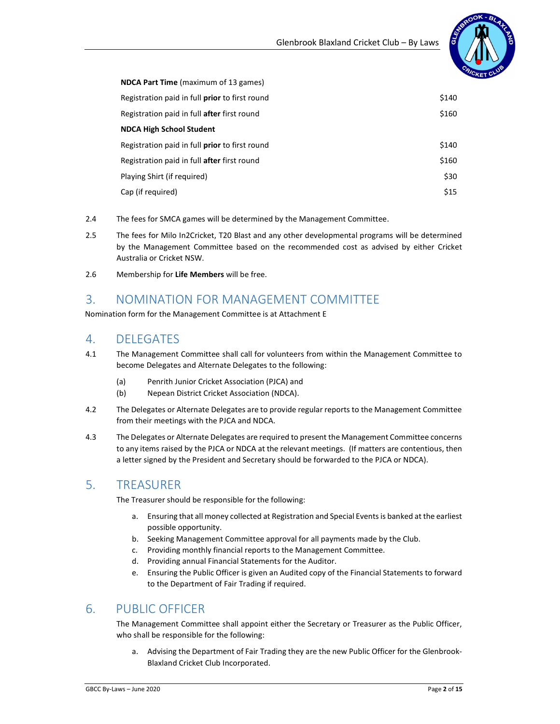

| <b>NDCA Part Time</b> (maximum of 13 games)        |       |
|----------------------------------------------------|-------|
| Registration paid in full prior to first round     | \$140 |
| Registration paid in full <b>after</b> first round | \$160 |
| <b>NDCA High School Student</b>                    |       |
| Registration paid in full prior to first round     | \$140 |
| Registration paid in full <b>after</b> first round | \$160 |
| Playing Shirt (if required)                        | \$30  |
| Cap (if required)                                  | \$15  |

- 2.4 The fees for SMCA games will be determined by the Management Committee.
- 2.5 The fees for Milo In2Cricket, T20 Blast and any other developmental programs will be determined by the Management Committee based on the recommended cost as advised by either Cricket Australia or Cricket NSW.
- 2.6 Membership for Life Members will be free.

## 3. NOMINATION FOR MANAGEMENT COMMITTEE

Nomination form for the Management Committee is at Attachment E

## 4. DELEGATES

- 4.1 The Management Committee shall call for volunteers from within the Management Committee to become Delegates and Alternate Delegates to the following:
	- (a) Penrith Junior Cricket Association (PJCA) and
	- (b) Nepean District Cricket Association (NDCA).
- 4.2 The Delegates or Alternate Delegates are to provide regular reports to the Management Committee from their meetings with the PJCA and NDCA.
- 4.3 The Delegates or Alternate Delegates are required to present the Management Committee concerns to any items raised by the PJCA or NDCA at the relevant meetings. (If matters are contentious, then a letter signed by the President and Secretary should be forwarded to the PJCA or NDCA).

# 5. TREASURER

The Treasurer should be responsible for the following:

- a. Ensuring that all money collected at Registration and Special Events is banked at the earliest possible opportunity.
- b. Seeking Management Committee approval for all payments made by the Club.
- c. Providing monthly financial reports to the Management Committee.
- d. Providing annual Financial Statements for the Auditor.
- e. Ensuring the Public Officer is given an Audited copy of the Financial Statements to forward to the Department of Fair Trading if required.

# 6. PUBLIC OFFICER

The Management Committee shall appoint either the Secretary or Treasurer as the Public Officer, who shall be responsible for the following:

a. Advising the Department of Fair Trading they are the new Public Officer for the Glenbrook-Blaxland Cricket Club Incorporated.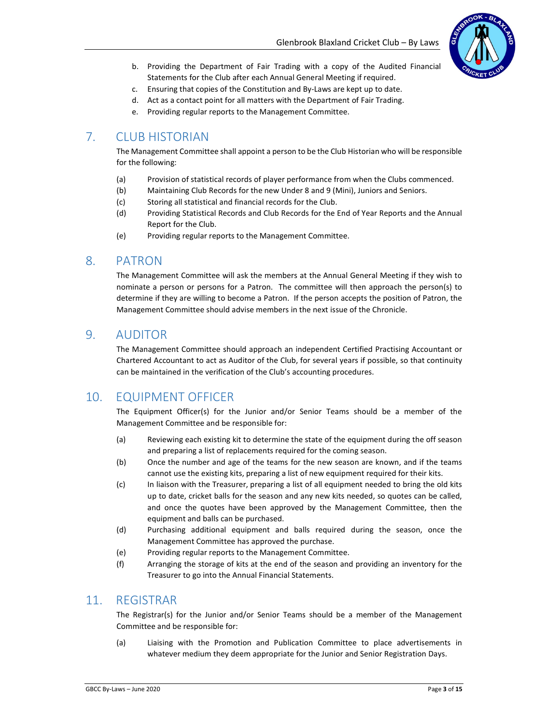

- b. Providing the Department of Fair Trading with a copy of the Audited Financial Statements for the Club after each Annual General Meeting if required.
- c. Ensuring that copies of the Constitution and By-Laws are kept up to date.
- d. Act as a contact point for all matters with the Department of Fair Trading.
- e. Providing regular reports to the Management Committee.

## 7. CLUB HISTORIAN

The Management Committee shall appoint a person to be the Club Historian who will be responsible for the following:

- (a) Provision of statistical records of player performance from when the Clubs commenced.
- (b) Maintaining Club Records for the new Under 8 and 9 (Mini), Juniors and Seniors.
- (c) Storing all statistical and financial records for the Club.
- (d) Providing Statistical Records and Club Records for the End of Year Reports and the Annual Report for the Club.
- (e) Providing regular reports to the Management Committee.

### 8. PATRON

The Management Committee will ask the members at the Annual General Meeting if they wish to nominate a person or persons for a Patron. The committee will then approach the person(s) to determine if they are willing to become a Patron. If the person accepts the position of Patron, the Management Committee should advise members in the next issue of the Chronicle.

### 9. AUDITOR

The Management Committee should approach an independent Certified Practising Accountant or Chartered Accountant to act as Auditor of the Club, for several years if possible, so that continuity can be maintained in the verification of the Club's accounting procedures.

## 10. EQUIPMENT OFFICER

The Equipment Officer(s) for the Junior and/or Senior Teams should be a member of the Management Committee and be responsible for:

- (a) Reviewing each existing kit to determine the state of the equipment during the off season and preparing a list of replacements required for the coming season.
- (b) Once the number and age of the teams for the new season are known, and if the teams cannot use the existing kits, preparing a list of new equipment required for their kits.
- (c) In liaison with the Treasurer, preparing a list of all equipment needed to bring the old kits up to date, cricket balls for the season and any new kits needed, so quotes can be called, and once the quotes have been approved by the Management Committee, then the equipment and balls can be purchased.
- (d) Purchasing additional equipment and balls required during the season, once the Management Committee has approved the purchase.
- (e) Providing regular reports to the Management Committee.
- (f) Arranging the storage of kits at the end of the season and providing an inventory for the Treasurer to go into the Annual Financial Statements.

### 11. REGISTRAR

The Registrar(s) for the Junior and/or Senior Teams should be a member of the Management Committee and be responsible for:

(a) Liaising with the Promotion and Publication Committee to place advertisements in whatever medium they deem appropriate for the Junior and Senior Registration Days.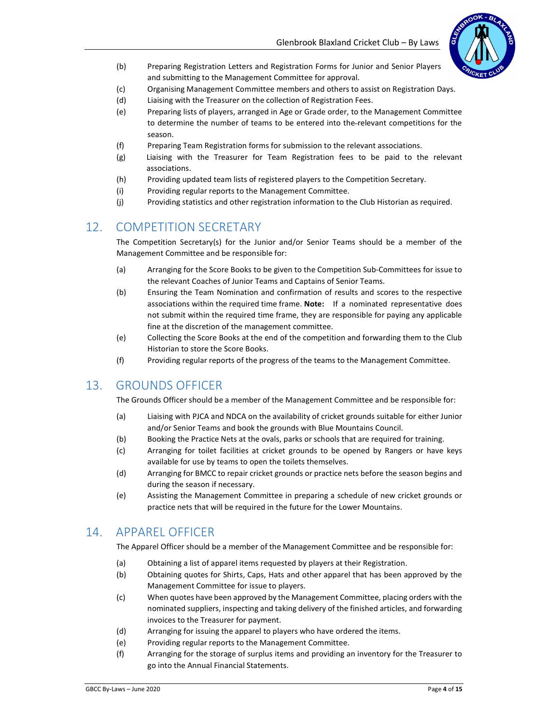

- (b) Preparing Registration Letters and Registration Forms for Junior and Senior Players and submitting to the Management Committee for approval.
- (c) Organising Management Committee members and others to assist on Registration Days.
- (d) Liaising with the Treasurer on the collection of Registration Fees.
- (e) Preparing lists of players, arranged in Age or Grade order, to the Management Committee to determine the number of teams to be entered into the relevant competitions for the season.
- (f) Preparing Team Registration forms for submission to the relevant associations.
- (g) Liaising with the Treasurer for Team Registration fees to be paid to the relevant associations.
- (h) Providing updated team lists of registered players to the Competition Secretary.
- (i) Providing regular reports to the Management Committee.
- (j) Providing statistics and other registration information to the Club Historian as required.

## 12. COMPETITION SECRETARY

The Competition Secretary(s) for the Junior and/or Senior Teams should be a member of the Management Committee and be responsible for:

- (a) Arranging for the Score Books to be given to the Competition Sub-Committees for issue to the relevant Coaches of Junior Teams and Captains of Senior Teams.
- (b) Ensuring the Team Nomination and confirmation of results and scores to the respective associations within the required time frame. Note: If a nominated representative does not submit within the required time frame, they are responsible for paying any applicable fine at the discretion of the management committee.
- (e) Collecting the Score Books at the end of the competition and forwarding them to the Club Historian to store the Score Books.
- (f) Providing regular reports of the progress of the teams to the Management Committee.

## 13. GROUNDS OFFICER

The Grounds Officer should be a member of the Management Committee and be responsible for:

- (a) Liaising with PJCA and NDCA on the availability of cricket grounds suitable for either Junior and/or Senior Teams and book the grounds with Blue Mountains Council.
- (b) Booking the Practice Nets at the ovals, parks or schools that are required for training.
- (c) Arranging for toilet facilities at cricket grounds to be opened by Rangers or have keys available for use by teams to open the toilets themselves.
- (d) Arranging for BMCC to repair cricket grounds or practice nets before the season begins and during the season if necessary.
- (e) Assisting the Management Committee in preparing a schedule of new cricket grounds or practice nets that will be required in the future for the Lower Mountains.

# 14. APPAREL OFFICER

The Apparel Officer should be a member of the Management Committee and be responsible for:

- (a) Obtaining a list of apparel items requested by players at their Registration.
- (b) Obtaining quotes for Shirts, Caps, Hats and other apparel that has been approved by the Management Committee for issue to players.
- (c) When quotes have been approved by the Management Committee, placing orders with the nominated suppliers, inspecting and taking delivery of the finished articles, and forwarding invoices to the Treasurer for payment.
- (d) Arranging for issuing the apparel to players who have ordered the items.
- (e) Providing regular reports to the Management Committee.
- (f) Arranging for the storage of surplus items and providing an inventory for the Treasurer to go into the Annual Financial Statements.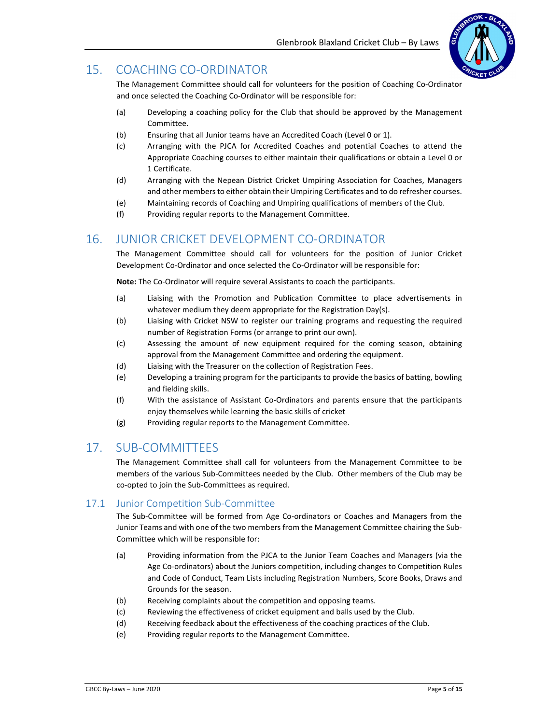

# 15. COACHING CO-ORDINATOR

The Management Committee should call for volunteers for the position of Coaching Co-Ordinator and once selected the Coaching Co-Ordinator will be responsible for:

- (a) Developing a coaching policy for the Club that should be approved by the Management Committee.
- (b) Ensuring that all Junior teams have an Accredited Coach (Level 0 or 1).
- (c) Arranging with the PJCA for Accredited Coaches and potential Coaches to attend the Appropriate Coaching courses to either maintain their qualifications or obtain a Level 0 or 1 Certificate.
- (d) Arranging with the Nepean District Cricket Umpiring Association for Coaches, Managers and other members to either obtain their Umpiring Certificates and to do refresher courses.
- (e) Maintaining records of Coaching and Umpiring qualifications of members of the Club.
- (f) Providing regular reports to the Management Committee.

### 16. JUNIOR CRICKET DEVELOPMENT CO-ORDINATOR

The Management Committee should call for volunteers for the position of Junior Cricket Development Co-Ordinator and once selected the Co-Ordinator will be responsible for:

Note: The Co-Ordinator will require several Assistants to coach the participants.

- (a) Liaising with the Promotion and Publication Committee to place advertisements in whatever medium they deem appropriate for the Registration Day(s).
- (b) Liaising with Cricket NSW to register our training programs and requesting the required number of Registration Forms (or arrange to print our own).
- (c) Assessing the amount of new equipment required for the coming season, obtaining approval from the Management Committee and ordering the equipment.
- (d) Liaising with the Treasurer on the collection of Registration Fees.
- (e) Developing a training program for the participants to provide the basics of batting, bowling and fielding skills.
- (f) With the assistance of Assistant Co-Ordinators and parents ensure that the participants enjoy themselves while learning the basic skills of cricket
- (g) Providing regular reports to the Management Committee.

## 17. SUB-COMMITTEES

The Management Committee shall call for volunteers from the Management Committee to be members of the various Sub-Committees needed by the Club. Other members of the Club may be co-opted to join the Sub-Committees as required.

### 17.1 Junior Competition Sub-Committee

The Sub-Committee will be formed from Age Co-ordinators or Coaches and Managers from the Junior Teams and with one of the two members from the Management Committee chairing the Sub-Committee which will be responsible for:

- (a) Providing information from the PJCA to the Junior Team Coaches and Managers (via the Age Co-ordinators) about the Juniors competition, including changes to Competition Rules and Code of Conduct, Team Lists including Registration Numbers, Score Books, Draws and Grounds for the season.
- (b) Receiving complaints about the competition and opposing teams.
- (c) Reviewing the effectiveness of cricket equipment and balls used by the Club.
- (d) Receiving feedback about the effectiveness of the coaching practices of the Club.
- (e) Providing regular reports to the Management Committee.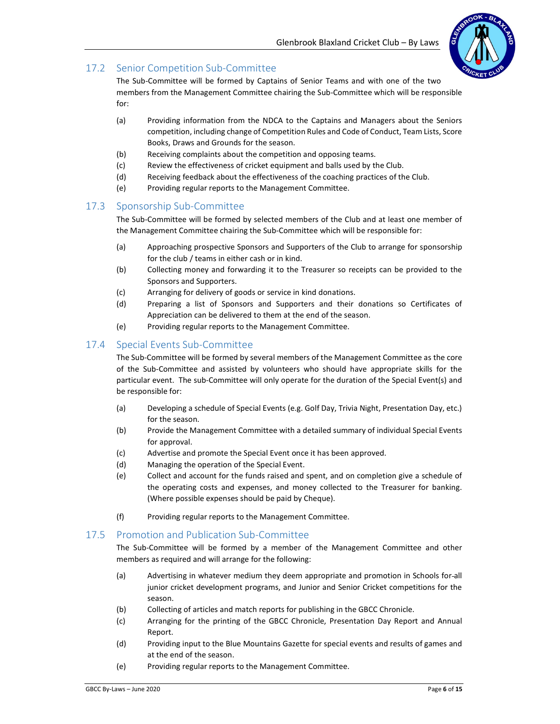

### 17.2 Senior Competition Sub-Committee

The Sub-Committee will be formed by Captains of Senior Teams and with one of the two members from the Management Committee chairing the Sub-Committee which will be responsible for:

- (a) Providing information from the NDCA to the Captains and Managers about the Seniors competition, including change of Competition Rules and Code of Conduct, Team Lists, Score Books, Draws and Grounds for the season.
- (b) Receiving complaints about the competition and opposing teams.
- (c) Review the effectiveness of cricket equipment and balls used by the Club.
- (d) Receiving feedback about the effectiveness of the coaching practices of the Club.
- (e) Providing regular reports to the Management Committee.

### 17.3 Sponsorship Sub-Committee

The Sub-Committee will be formed by selected members of the Club and at least one member of the Management Committee chairing the Sub-Committee which will be responsible for:

- (a) Approaching prospective Sponsors and Supporters of the Club to arrange for sponsorship for the club / teams in either cash or in kind.
- (b) Collecting money and forwarding it to the Treasurer so receipts can be provided to the Sponsors and Supporters.
- (c) Arranging for delivery of goods or service in kind donations.
- (d) Preparing a list of Sponsors and Supporters and their donations so Certificates of Appreciation can be delivered to them at the end of the season.
- (e) Providing regular reports to the Management Committee.

### 17.4 Special Events Sub-Committee

The Sub-Committee will be formed by several members of the Management Committee as the core of the Sub-Committee and assisted by volunteers who should have appropriate skills for the particular event. The sub-Committee will only operate for the duration of the Special Event(s) and be responsible for:

- (a) Developing a schedule of Special Events (e.g. Golf Day, Trivia Night, Presentation Day, etc.) for the season.
- (b) Provide the Management Committee with a detailed summary of individual Special Events for approval.
- (c) Advertise and promote the Special Event once it has been approved.
- (d) Managing the operation of the Special Event.
- (e) Collect and account for the funds raised and spent, and on completion give a schedule of the operating costs and expenses, and money collected to the Treasurer for banking. (Where possible expenses should be paid by Cheque).
- (f) Providing regular reports to the Management Committee.

### 17.5 Promotion and Publication Sub-Committee

The Sub-Committee will be formed by a member of the Management Committee and other members as required and will arrange for the following:

- (a) Advertising in whatever medium they deem appropriate and promotion in Schools for all junior cricket development programs, and Junior and Senior Cricket competitions for the season.
- (b) Collecting of articles and match reports for publishing in the GBCC Chronicle.
- (c) Arranging for the printing of the GBCC Chronicle, Presentation Day Report and Annual Report.
- (d) Providing input to the Blue Mountains Gazette for special events and results of games and at the end of the season.
- (e) Providing regular reports to the Management Committee.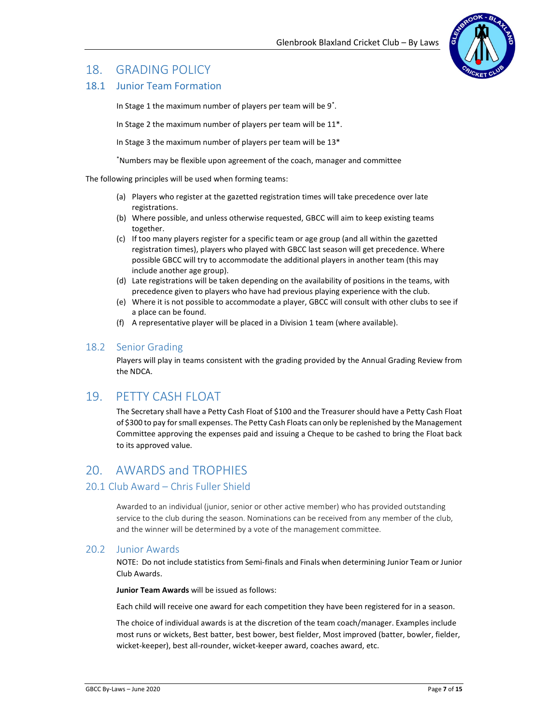# 18. GRADING POLICY

### 18.1 Junior Team Formation

In Stage 1 the maximum number of players per team will be 9\* .

In Stage 2 the maximum number of players per team will be 11\*.

In Stage 3 the maximum number of players per team will be 13\*

\*Numbers may be flexible upon agreement of the coach, manager and committee

The following principles will be used when forming teams:

- (a) Players who register at the gazetted registration times will take precedence over late registrations.
- (b) Where possible, and unless otherwise requested, GBCC will aim to keep existing teams together.
- (c) If too many players register for a specific team or age group (and all within the gazetted registration times), players who played with GBCC last season will get precedence. Where possible GBCC will try to accommodate the additional players in another team (this may include another age group).
- (d) Late registrations will be taken depending on the availability of positions in the teams, with precedence given to players who have had previous playing experience with the club.
- (e) Where it is not possible to accommodate a player, GBCC will consult with other clubs to see if a place can be found.
- (f) A representative player will be placed in a Division 1 team (where available).

### 18.2 Senior Grading

Players will play in teams consistent with the grading provided by the Annual Grading Review from the NDCA.

## 19. PETTY CASH FLOAT

The Secretary shall have a Petty Cash Float of \$100 and the Treasurer should have a Petty Cash Float of \$300 to pay for small expenses. The Petty Cash Floats can only be replenished by the Management Committee approving the expenses paid and issuing a Cheque to be cashed to bring the Float back to its approved value.

# 20. AWARDS and TROPHIES

### 20.1 Club Award – Chris Fuller Shield

Awarded to an individual (junior, senior or other active member) who has provided outstanding service to the club during the season. Nominations can be received from any member of the club, and the winner will be determined by a vote of the management committee.

### 20.2 Junior Awards

NOTE: Do not include statistics from Semi-finals and Finals when determining Junior Team or Junior Club Awards.

Junior Team Awards will be issued as follows:

Each child will receive one award for each competition they have been registered for in a season.

The choice of individual awards is at the discretion of the team coach/manager. Examples include most runs or wickets, Best batter, best bower, best fielder, Most improved (batter, bowler, fielder, wicket-keeper), best all-rounder, wicket-keeper award, coaches award, etc.

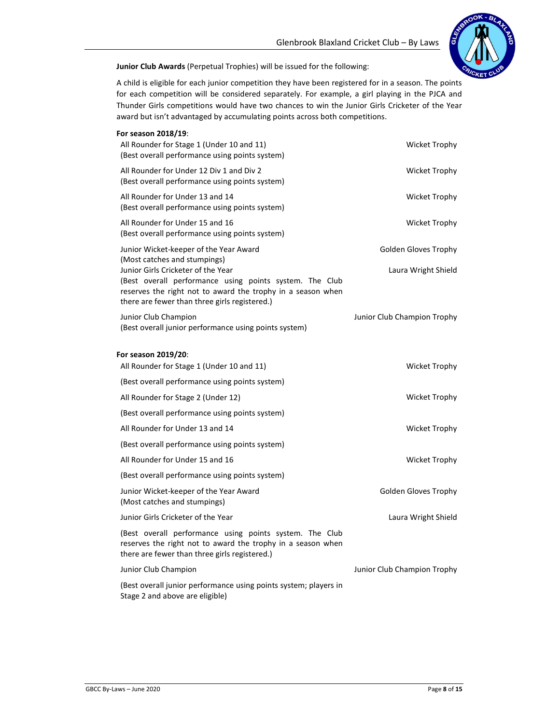

Junior Club Awards (Perpetual Trophies) will be issued for the following:

A child is eligible for each junior competition they have been registered for in a season. The points for each competition will be considered separately. For example, a girl playing in the PJCA and Thunder Girls competitions would have two chances to win the Junior Girls Cricketer of the Year award but isn't advantaged by accumulating points across both competitions.

| For season 2018/19:                                                                                                                                                                                                                           |                             |
|-----------------------------------------------------------------------------------------------------------------------------------------------------------------------------------------------------------------------------------------------|-----------------------------|
| All Rounder for Stage 1 (Under 10 and 11)<br>(Best overall performance using points system)                                                                                                                                                   | <b>Wicket Trophy</b>        |
| All Rounder for Under 12 Div 1 and Div 2<br>(Best overall performance using points system)                                                                                                                                                    | <b>Wicket Trophy</b>        |
| All Rounder for Under 13 and 14<br>(Best overall performance using points system)                                                                                                                                                             | <b>Wicket Trophy</b>        |
| All Rounder for Under 15 and 16<br>(Best overall performance using points system)                                                                                                                                                             | Wicket Trophy               |
| Junior Wicket-keeper of the Year Award                                                                                                                                                                                                        | Golden Gloves Trophy        |
| (Most catches and stumpings)<br>Junior Girls Cricketer of the Year<br>(Best overall performance using points system. The Club<br>reserves the right not to award the trophy in a season when<br>there are fewer than three girls registered.) | Laura Wright Shield         |
| Junior Club Champion<br>(Best overall junior performance using points system)                                                                                                                                                                 | Junior Club Champion Trophy |
| For season 2019/20:                                                                                                                                                                                                                           |                             |
| All Rounder for Stage 1 (Under 10 and 11)                                                                                                                                                                                                     | <b>Wicket Trophy</b>        |
| (Best overall performance using points system)                                                                                                                                                                                                |                             |
| All Rounder for Stage 2 (Under 12)                                                                                                                                                                                                            | Wicket Trophy               |
| (Best overall performance using points system)                                                                                                                                                                                                |                             |
| All Rounder for Under 13 and 14                                                                                                                                                                                                               | Wicket Trophy               |
| (Best overall performance using points system)                                                                                                                                                                                                |                             |
| All Rounder for Under 15 and 16                                                                                                                                                                                                               | Wicket Trophy               |
| (Best overall performance using points system)                                                                                                                                                                                                |                             |
| Junior Wicket-keeper of the Year Award<br>(Most catches and stumpings)                                                                                                                                                                        | Golden Gloves Trophy        |
| Junior Girls Cricketer of the Year                                                                                                                                                                                                            | Laura Wright Shield         |
| (Best overall performance using points system. The Club<br>reserves the right not to award the trophy in a season when<br>there are fewer than three girls registered.)                                                                       |                             |
| Junior Club Champion                                                                                                                                                                                                                          | Junior Club Champion Trophy |
| (Best overall junior performance using points system; players in<br>Stage 2 and above are eligible)                                                                                                                                           |                             |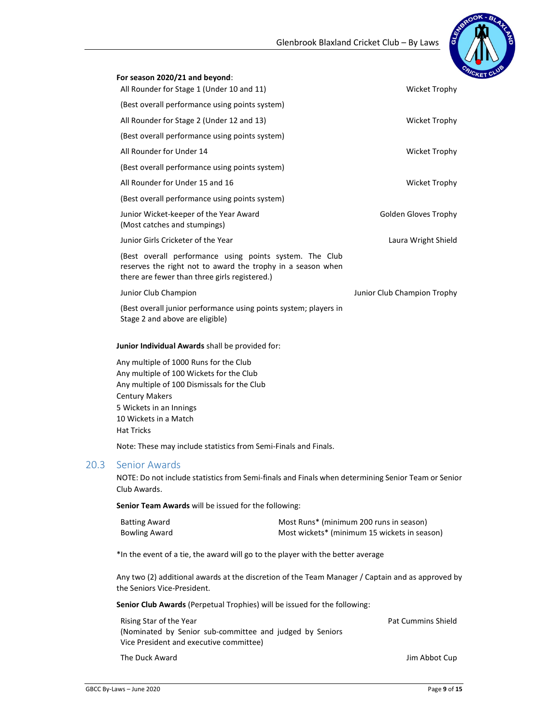## Glenbrook Blaxland Cricket Club – By Laws



|      | For season 2020/21 and beyond:                                                                                                                                                                                                      |                                                                                                    |
|------|-------------------------------------------------------------------------------------------------------------------------------------------------------------------------------------------------------------------------------------|----------------------------------------------------------------------------------------------------|
|      | All Rounder for Stage 1 (Under 10 and 11)                                                                                                                                                                                           | Wicket Trophy                                                                                      |
|      | (Best overall performance using points system)                                                                                                                                                                                      |                                                                                                    |
|      | All Rounder for Stage 2 (Under 12 and 13)                                                                                                                                                                                           | <b>Wicket Trophy</b>                                                                               |
|      | (Best overall performance using points system)                                                                                                                                                                                      |                                                                                                    |
|      | All Rounder for Under 14                                                                                                                                                                                                            | <b>Wicket Trophy</b>                                                                               |
|      | (Best overall performance using points system)                                                                                                                                                                                      |                                                                                                    |
|      | All Rounder for Under 15 and 16                                                                                                                                                                                                     | <b>Wicket Trophy</b>                                                                               |
|      | (Best overall performance using points system)                                                                                                                                                                                      |                                                                                                    |
|      | Junior Wicket-keeper of the Year Award<br>(Most catches and stumpings)                                                                                                                                                              | Golden Gloves Trophy                                                                               |
|      | Junior Girls Cricketer of the Year                                                                                                                                                                                                  | Laura Wright Shield                                                                                |
|      | (Best overall performance using points system. The Club<br>reserves the right not to award the trophy in a season when<br>there are fewer than three girls registered.)                                                             |                                                                                                    |
|      | Junior Club Champion                                                                                                                                                                                                                | Junior Club Champion Trophy                                                                        |
|      | (Best overall junior performance using points system; players in<br>Stage 2 and above are eligible)                                                                                                                                 |                                                                                                    |
|      | Junior Individual Awards shall be provided for:                                                                                                                                                                                     |                                                                                                    |
|      | Any multiple of 1000 Runs for the Club<br>Any multiple of 100 Wickets for the Club<br>Any multiple of 100 Dismissals for the Club<br><b>Century Makers</b><br>5 Wickets in an Innings<br>10 Wickets in a Match<br><b>Hat Tricks</b> |                                                                                                    |
|      | Note: These may include statistics from Semi-Finals and Finals.                                                                                                                                                                     |                                                                                                    |
| 20.3 | <b>Senior Awards</b><br>Club Awards.                                                                                                                                                                                                | NOTE: Do not include statistics from Semi-finals and Finals when determining Senior Team or Senior |
|      | Senior Team Awards will be issued for the following:                                                                                                                                                                                |                                                                                                    |
|      | <b>Batting Award</b><br><b>Bowling Award</b>                                                                                                                                                                                        | Most Runs* (minimum 200 runs in season)<br>Most wickets* (minimum 15 wickets in season)            |
|      | *In the event of a tie, the award will go to the player with the better average                                                                                                                                                     |                                                                                                    |
|      | the Seniors Vice-President.                                                                                                                                                                                                         | Any two (2) additional awards at the discretion of the Team Manager / Captain and as approved by   |
|      | Senior Club Awards (Perpetual Trophies) will be issued for the following:                                                                                                                                                           |                                                                                                    |
|      | Rising Star of the Year<br>(Nominated by Senior sub-committee and judged by Seniors<br>Vice President and executive committee)                                                                                                      | <b>Pat Cummins Shield</b>                                                                          |

The Duck Award **Jim Abbot Cup**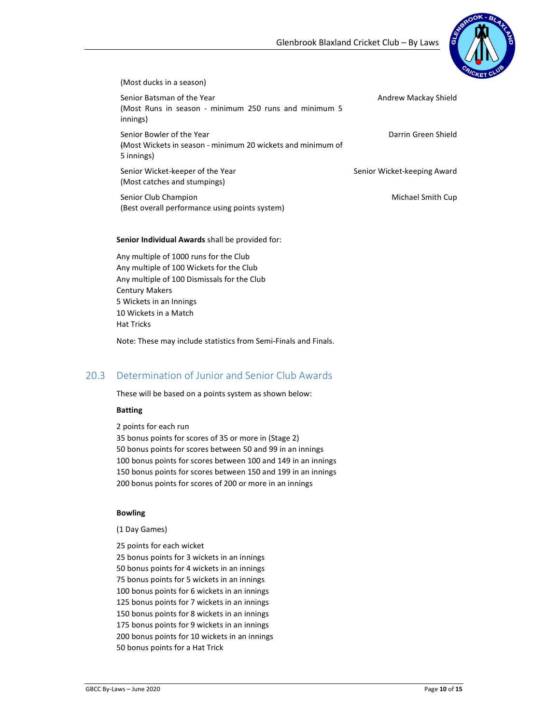

#### (Most ducks in a season)

Senior Batsman of the Year (Most Runs in season - minimum 250 runs and minimum 5 innings) Senior Bowler of the Year

(Most Wickets in season - minimum 20 wickets and minimum of 5 innings)

Senior Wicket-keeper of the Year (Most catches and stumpings)

Senior Club Champion (Best overall performance using points system)

Senior Individual Awards shall be provided for:

Any multiple of 1000 runs for the Club Any multiple of 100 Wickets for the Club Any multiple of 100 Dismissals for the Club Century Makers 5 Wickets in an Innings 10 Wickets in a Match Hat Tricks

Note: These may include statistics from Semi-Finals and Finals.

### 20.3 Determination of Junior and Senior Club Awards

These will be based on a points system as shown below:

#### Batting

2 points for each run 35 bonus points for scores of 35 or more in (Stage 2) 50 bonus points for scores between 50 and 99 in an innings 100 bonus points for scores between 100 and 149 in an innings 150 bonus points for scores between 150 and 199 in an innings 200 bonus points for scores of 200 or more in an innings

#### Bowling

(1 Day Games)

25 points for each wicket

25 bonus points for 3 wickets in an innings 50 bonus points for 4 wickets in an innings 75 bonus points for 5 wickets in an innings 100 bonus points for 6 wickets in an innings 125 bonus points for 7 wickets in an innings 150 bonus points for 8 wickets in an innings 175 bonus points for 9 wickets in an innings 200 bonus points for 10 wickets in an innings 50 bonus points for a Hat Trick

Darrin Green Shield

Senior Wicket-keeping Award

Michael Smith Cup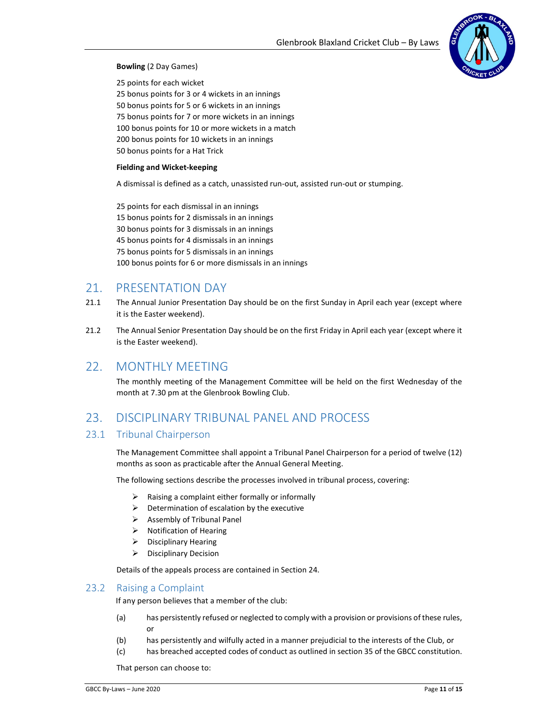

#### Bowling (2 Day Games)

25 points for each wicket 25 bonus points for 3 or 4 wickets in an innings 50 bonus points for 5 or 6 wickets in an innings 75 bonus points for 7 or more wickets in an innings 100 bonus points for 10 or more wickets in a match 200 bonus points for 10 wickets in an innings 50 bonus points for a Hat Trick

#### Fielding and Wicket-keeping

A dismissal is defined as a catch, unassisted run-out, assisted run-out or stumping.

25 points for each dismissal in an innings 15 bonus points for 2 dismissals in an innings 30 bonus points for 3 dismissals in an innings 45 bonus points for 4 dismissals in an innings 75 bonus points for 5 dismissals in an innings 100 bonus points for 6 or more dismissals in an innings

## 21. PRESENTATION DAY

- 21.1 The Annual Junior Presentation Day should be on the first Sunday in April each year (except where it is the Easter weekend).
- 21.2 The Annual Senior Presentation Day should be on the first Friday in April each year (except where it is the Easter weekend).

### 22. MONTHLY MEETING

The monthly meeting of the Management Committee will be held on the first Wednesday of the month at 7.30 pm at the Glenbrook Bowling Club.

## 23. DISCIPLINARY TRIBUNAL PANEL AND PROCESS

#### 23.1 Tribunal Chairperson

The Management Committee shall appoint a Tribunal Panel Chairperson for a period of twelve (12) months as soon as practicable after the Annual General Meeting.

The following sections describe the processes involved in tribunal process, covering:

- Raising a complaint either formally or informally
- $\triangleright$  Determination of escalation by the executive
- $\triangleright$  Assembly of Tribunal Panel
- $\triangleright$  Notification of Hearing
- $\triangleright$  Disciplinary Hearing
- $\triangleright$  Disciplinary Decision

Details of the appeals process are contained in Section 24.

#### 23.2 Raising a Complaint

If any person believes that a member of the club:

- (a) has persistently refused or neglected to comply with a provision or provisions of these rules, or
- (b) has persistently and wilfully acted in a manner prejudicial to the interests of the Club, or
- (c) has breached accepted codes of conduct as outlined in section 35 of the GBCC constitution.

That person can choose to: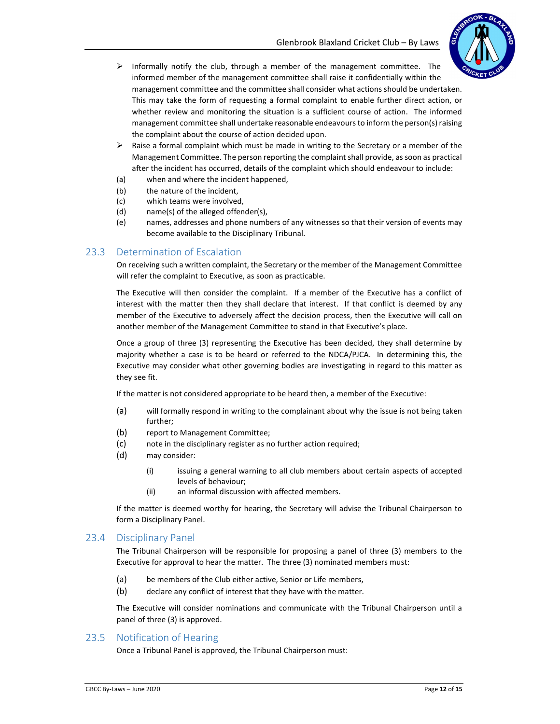

- $\triangleright$  Informally notify the club, through a member of the management committee. The informed member of the management committee shall raise it confidentially within the management committee and the committee shall consider what actions should be undertaken. This may take the form of requesting a formal complaint to enable further direct action, or whether review and monitoring the situation is a sufficient course of action. The informed management committee shall undertake reasonable endeavours to inform the person(s) raising the complaint about the course of action decided upon.
- $\triangleright$  Raise a formal complaint which must be made in writing to the Secretary or a member of the Management Committee. The person reporting the complaint shall provide, as soon as practical after the incident has occurred, details of the complaint which should endeavour to include:
- (a) when and where the incident happened,
- (b) the nature of the incident,
- (c) which teams were involved,
- (d) name(s) of the alleged offender(s),
- (e) names, addresses and phone numbers of any witnesses so that their version of events may become available to the Disciplinary Tribunal.

#### 23.3 Determination of Escalation

On receiving such a written complaint, the Secretary or the member of the Management Committee will refer the complaint to Executive, as soon as practicable.

The Executive will then consider the complaint. If a member of the Executive has a conflict of interest with the matter then they shall declare that interest. If that conflict is deemed by any member of the Executive to adversely affect the decision process, then the Executive will call on another member of the Management Committee to stand in that Executive's place.

Once a group of three (3) representing the Executive has been decided, they shall determine by majority whether a case is to be heard or referred to the NDCA/PJCA. In determining this, the Executive may consider what other governing bodies are investigating in regard to this matter as they see fit.

If the matter is not considered appropriate to be heard then, a member of the Executive:

- (a) will formally respond in writing to the complainant about why the issue is not being taken further;
- (b) report to Management Committee;
- (c) note in the disciplinary register as no further action required;
- (d) may consider:
	- (i) issuing a general warning to all club members about certain aspects of accepted levels of behaviour;
	- (ii) an informal discussion with affected members.

If the matter is deemed worthy for hearing, the Secretary will advise the Tribunal Chairperson to form a Disciplinary Panel.

#### 23.4 Disciplinary Panel

The Tribunal Chairperson will be responsible for proposing a panel of three (3) members to the Executive for approval to hear the matter. The three (3) nominated members must:

- (a) be members of the Club either active, Senior or Life members,
- (b) declare any conflict of interest that they have with the matter.

The Executive will consider nominations and communicate with the Tribunal Chairperson until a panel of three (3) is approved.

#### 23.5 Notification of Hearing

Once a Tribunal Panel is approved, the Tribunal Chairperson must: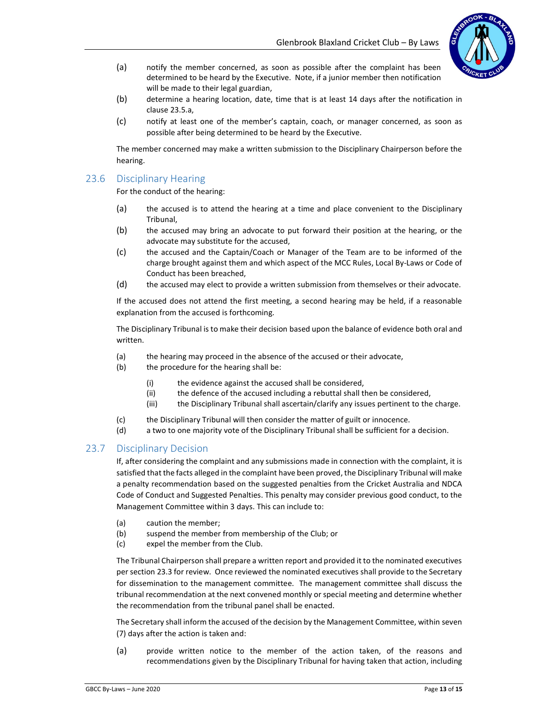

- (a) notify the member concerned, as soon as possible after the complaint has been determined to be heard by the Executive. Note, if a junior member then notification will be made to their legal guardian,
- (b) determine a hearing location, date, time that is at least 14 days after the notification in clause 23.5.a,
- (c) notify at least one of the member's captain, coach, or manager concerned, as soon as possible after being determined to be heard by the Executive.

The member concerned may make a written submission to the Disciplinary Chairperson before the hearing.

#### 23.6 Disciplinary Hearing

For the conduct of the hearing:

- (a) the accused is to attend the hearing at a time and place convenient to the Disciplinary Tribunal,
- (b) the accused may bring an advocate to put forward their position at the hearing, or the advocate may substitute for the accused,
- (c) the accused and the Captain/Coach or Manager of the Team are to be informed of the charge brought against them and which aspect of the MCC Rules, Local By-Laws or Code of Conduct has been breached,
- (d) the accused may elect to provide a written submission from themselves or their advocate.

If the accused does not attend the first meeting, a second hearing may be held, if a reasonable explanation from the accused is forthcoming.

The Disciplinary Tribunal is to make their decision based upon the balance of evidence both oral and written.

- (a) the hearing may proceed in the absence of the accused or their advocate,
- (b) the procedure for the hearing shall be:
	- (i) the evidence against the accused shall be considered,
	- (ii) the defence of the accused including a rebuttal shall then be considered,
	- (iii) the Disciplinary Tribunal shall ascertain/clarify any issues pertinent to the charge.
- (c) the Disciplinary Tribunal will then consider the matter of guilt or innocence.
- (d) a two to one majority vote of the Disciplinary Tribunal shall be sufficient for a decision.

#### 23.7 Disciplinary Decision

If, after considering the complaint and any submissions made in connection with the complaint, it is satisfied that the facts alleged in the complaint have been proved, the Disciplinary Tribunal will make a penalty recommendation based on the suggested penalties from the Cricket Australia and NDCA Code of Conduct and Suggested Penalties. This penalty may consider previous good conduct, to the Management Committee within 3 days. This can include to:

- (a) caution the member;
- (b) suspend the member from membership of the Club; or
- (c) expel the member from the Club.

The Tribunal Chairperson shall prepare a written report and provided it to the nominated executives per section 23.3 for review. Once reviewed the nominated executives shall provide to the Secretary for dissemination to the management committee. The management committee shall discuss the tribunal recommendation at the next convened monthly or special meeting and determine whether the recommendation from the tribunal panel shall be enacted.

The Secretary shall inform the accused of the decision by the Management Committee, within seven (7) days after the action is taken and:

(a) provide written notice to the member of the action taken, of the reasons and recommendations given by the Disciplinary Tribunal for having taken that action, including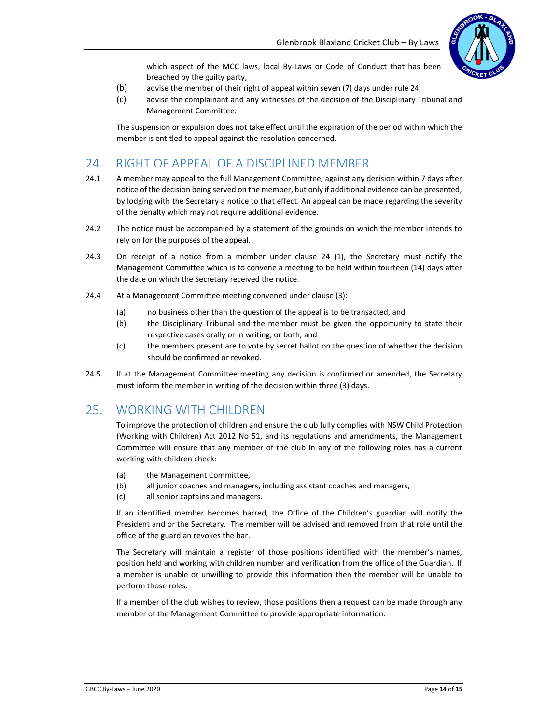

which aspect of the MCC laws, local By-Laws or Code of Conduct that has been breached by the guilty party,

- (b) advise the member of their right of appeal within seven (7) days under rule 24,
- (c) advise the complainant and any witnesses of the decision of the Disciplinary Tribunal and Management Committee.

The suspension or expulsion does not take effect until the expiration of the period within which the member is entitled to appeal against the resolution concerned.

# 24. RIGHT OF APPEAL OF A DISCIPLINED MEMBER

- 24.1 A member may appeal to the full Management Committee, against any decision within 7 days after notice of the decision being served on the member, but only if additional evidence can be presented, by lodging with the Secretary a notice to that effect. An appeal can be made regarding the severity of the penalty which may not require additional evidence.
- 24.2 The notice must be accompanied by a statement of the grounds on which the member intends to rely on for the purposes of the appeal.
- 24.3 On receipt of a notice from a member under clause 24 (1), the Secretary must notify the Management Committee which is to convene a meeting to be held within fourteen (14) days after the date on which the Secretary received the notice.
- 24.4 At a Management Committee meeting convened under clause (3):
	- (a) no business other than the question of the appeal is to be transacted, and
	- (b) the Disciplinary Tribunal and the member must be given the opportunity to state their respective cases orally or in writing, or both, and
	- (c) the members present are to vote by secret ballot on the question of whether the decision should be confirmed or revoked.
- 24.5 If at the Management Committee meeting any decision is confirmed or amended, the Secretary must inform the member in writing of the decision within three (3) days.

## 25. WORKING WITH CHILDREN

To improve the protection of children and ensure the club fully complies with NSW Child Protection (Working with Children) Act 2012 No 51, and its regulations and amendments, the Management Committee will ensure that any member of the club in any of the following roles has a current working with children check:

- (a) the Management Committee,
- (b) all junior coaches and managers, including assistant coaches and managers,
- (c) all senior captains and managers.

If an identified member becomes barred, the Office of the Children's guardian will notify the President and or the Secretary. The member will be advised and removed from that role until the office of the guardian revokes the bar.

The Secretary will maintain a register of those positions identified with the member's names, position held and working with children number and verification from the office of the Guardian. If a member is unable or unwilling to provide this information then the member will be unable to perform those roles.

If a member of the club wishes to review, those positions then a request can be made through any member of the Management Committee to provide appropriate information.